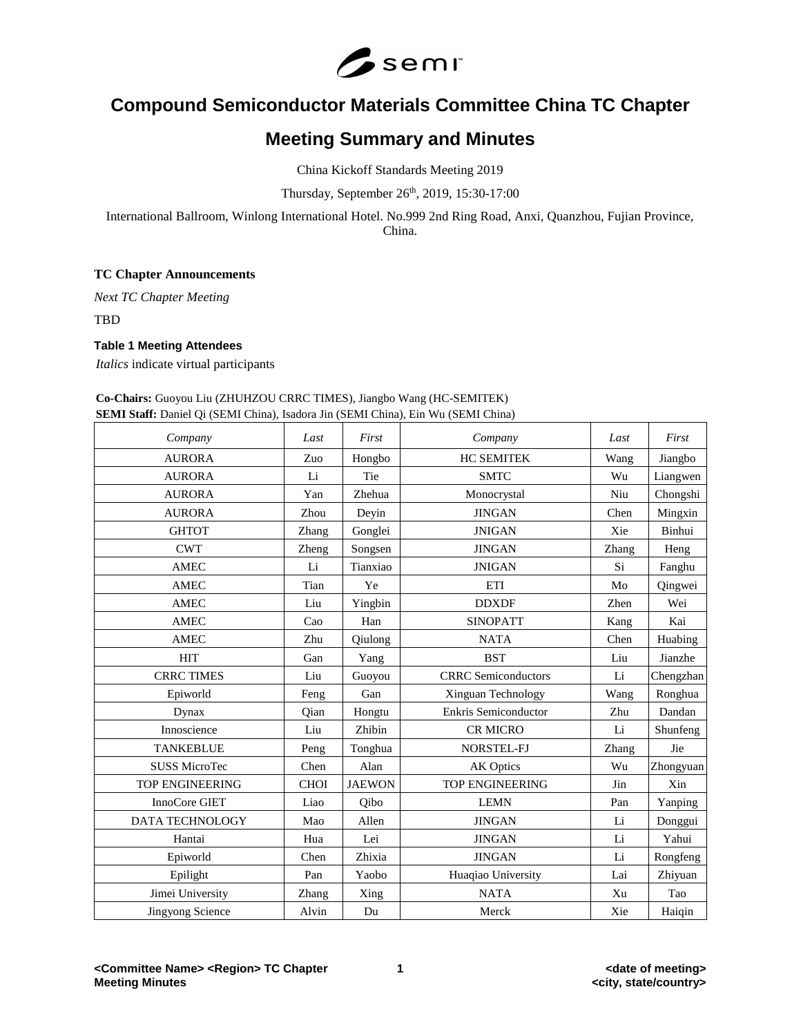

# **Compound Semiconductor Materials Committee China TC Chapter**

## **Meeting Summary and Minutes**

China Kickoff Standards Meeting 2019

Thursday, September 26 th, 2019, 15:30-17:00

International Ballroom, Winlong International Hotel. No.999 2nd Ring Road, Anxi, Quanzhou, Fujian Province, China.

## **TC Chapter Announcements**

*Next TC Chapter Meeting*

TBD

## **Table 1 Meeting Attendees**

*Italics* indicate virtual participants

### **Co-Chairs:** Guoyou Liu (ZHUHZOU CRRC TIMES), Jiangbo Wang (HC-SEMITEK) **SEMI Staff:** Daniel Qi (SEMI China), Isadora Jin (SEMI China), Ein Wu (SEMI China)

| Company                 | Last        | First         | Company                    | Last  | First     |
|-------------------------|-------------|---------------|----------------------------|-------|-----------|
| <b>AURORA</b>           | Zuo         | Hongbo        | <b>HC SEMITEK</b>          | Wang  | Jiangbo   |
| <b>AURORA</b>           | Li          | Tie           | <b>SMTC</b>                | Wu    | Liangwen  |
| <b>AURORA</b>           | Yan         | Zhehua        | Monocrystal                | Niu   | Chongshi  |
| <b>AURORA</b>           | Zhou        | Deyin         | <b>JINGAN</b>              | Chen  | Mingxin   |
| <b>GHTOT</b>            | Zhang       | Gonglei       | <b>JNIGAN</b>              | Xie   | Binhui    |
| <b>CWT</b>              | Zheng       | Songsen       | <b>JINGAN</b>              | Zhang | Heng      |
| <b>AMEC</b>             | Li          | Tianxiao      | <b>JNIGAN</b>              | Si    | Fanghu    |
| <b>AMEC</b>             | Tian        | Ye            | ETI                        | Mo    | Qingwei   |
| <b>AMEC</b>             | Liu         | Yingbin       | <b>DDXDF</b>               | Zhen  | Wei       |
| <b>AMEC</b>             | Cao         | Han           | <b>SINOPATT</b>            | Kang  | Kai       |
| <b>AMEC</b>             | Zhu         | Qiulong       | <b>NATA</b>                | Chen  | Huabing   |
| <b>HIT</b>              | Gan         | Yang          | <b>BST</b>                 | Liu   | Jianzhe   |
| <b>CRRC TIMES</b>       | Liu         | Guoyou        | <b>CRRC</b> Semiconductors | Li    | Chengzhan |
| Epiworld                | Feng        | Gan           | Xinguan Technology         | Wang  | Ronghua   |
| Dynax                   | Qian        | Hongtu        | Enkris Semiconductor       | Zhu   | Dandan    |
| Innoscience             | Liu         | Zhibin        | <b>CR MICRO</b>            | Li    | Shunfeng  |
| <b>TANKEBLUE</b>        | Peng        | Tonghua       | NORSTEL-FJ                 | Zhang | Jie       |
| <b>SUSS MicroTec</b>    | Chen        | Alan          | <b>AK Optics</b>           | Wu    | Zhongyuan |
| <b>TOP ENGINEERING</b>  | <b>CHOI</b> | <b>JAEWON</b> | <b>TOP ENGINEERING</b>     | Jin   | Xin       |
| InnoCore GIET           | Liao        | Oibo          | <b>LEMN</b>                | Pan   | Yanping   |
| DATA TECHNOLOGY         | Mao         | Allen         | <b>JINGAN</b>              | Li    | Donggui   |
| Hantai                  | Hua         | Lei           | <b>JINGAN</b>              | Li    | Yahui     |
| Epiworld                | Chen        | Zhixia        | <b>JINGAN</b>              | Li    | Rongfeng  |
| Epilight                | Pan         | Yaobo         | Huaqiao University         | Lai   | Zhiyuan   |
| Jimei University        | Zhang       | Xing          | <b>NATA</b>                | Xu    | Tao       |
| <b>Jingyong Science</b> | Alvin       | Du            | Merck                      | Xie   | Haiqin    |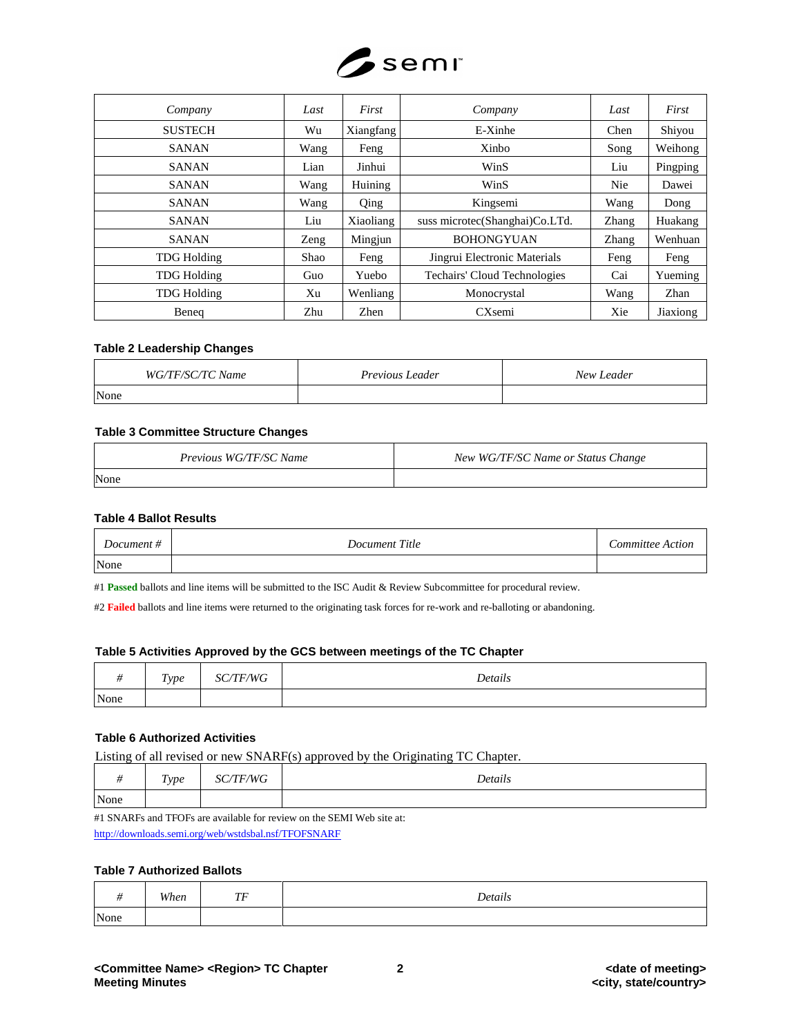

| Company            | Last | First     | Company                        | Last       | First    |
|--------------------|------|-----------|--------------------------------|------------|----------|
| <b>SUSTECH</b>     | Wu   | Xiangfang | E-Xinhe                        | Chen       | Shiyou   |
| <b>SANAN</b>       | Wang | Feng      | Xinbo                          | Song       | Weihong  |
| <b>SANAN</b>       | Lian | Jinhui    | WinS                           | Liu        | Pingping |
| <b>SANAN</b>       | Wang | Huining   | WinS                           | <b>Nie</b> | Dawei    |
| <b>SANAN</b>       | Wang | Qing      | Kingsemi                       | Wang       | Dong     |
| <b>SANAN</b>       | Liu  | Xiaoliang | suss microtec(Shanghai)Co.LTd. | Zhang      | Huakang  |
| <b>SANAN</b>       | Zeng | Mingjun   | <b>BOHONGYUAN</b>              | Zhang      | Wenhuan  |
| <b>TDG Holding</b> | Shao | Feng      | Jingrui Electronic Materials   | Feng       | Feng     |
| <b>TDG Holding</b> | Guo  | Yuebo     | Techairs' Cloud Technologies   | Cai        | Yueming  |
| <b>TDG Holding</b> | Xu   | Wenliang  | Monocrystal                    | Wang       | Zhan     |
| Beneg              | Zhu  | Zhen      | CXsemi                         | Xie        | Jiaxiong |

#### **Table 2 Leadership Changes**

| WG/TF/SC/TC Name | Previous Leader | New Leader |
|------------------|-----------------|------------|
| None             |                 |            |

#### **Table 3 Committee Structure Changes**

| Previous WG/TF/SC Name | New WG/TF/SC Name or Status Change |
|------------------------|------------------------------------|
| None                   |                                    |

#### **Table 4 Ballot Results**

| Document # | Document Title | Committee Action |
|------------|----------------|------------------|
| None       |                |                  |

#1 **Passed** ballots and line items will be submitted to the ISC Audit & Review Subcommittee for procedural review.

#2 **Failed** ballots and line items were returned to the originating task forces for re-work and re-balloting or abandoning.

#### **Table 5 Activities Approved by the GCS between meetings of the TC Chapter**

|      | Type | /TF/WG<br>SC | Details |
|------|------|--------------|---------|
| None |      |              |         |

## **Table 6 Authorized Activities**

Listing of all revised or new SNARF(s) approved by the Originating TC Chapter.

|      | Type | <b>TF/WG</b><br>$\mathbf{C}$ | Details |
|------|------|------------------------------|---------|
| None |      |                              |         |

#1 SNARFs and TFOFs are available for review on the SEMI Web site at: <http://downloads.semi.org/web/wstdsbal.nsf/TFOFSNARF>

### **Table 7 Authorized Ballots**

|      | When | TF<br>. . | Details |
|------|------|-----------|---------|
| None |      |           |         |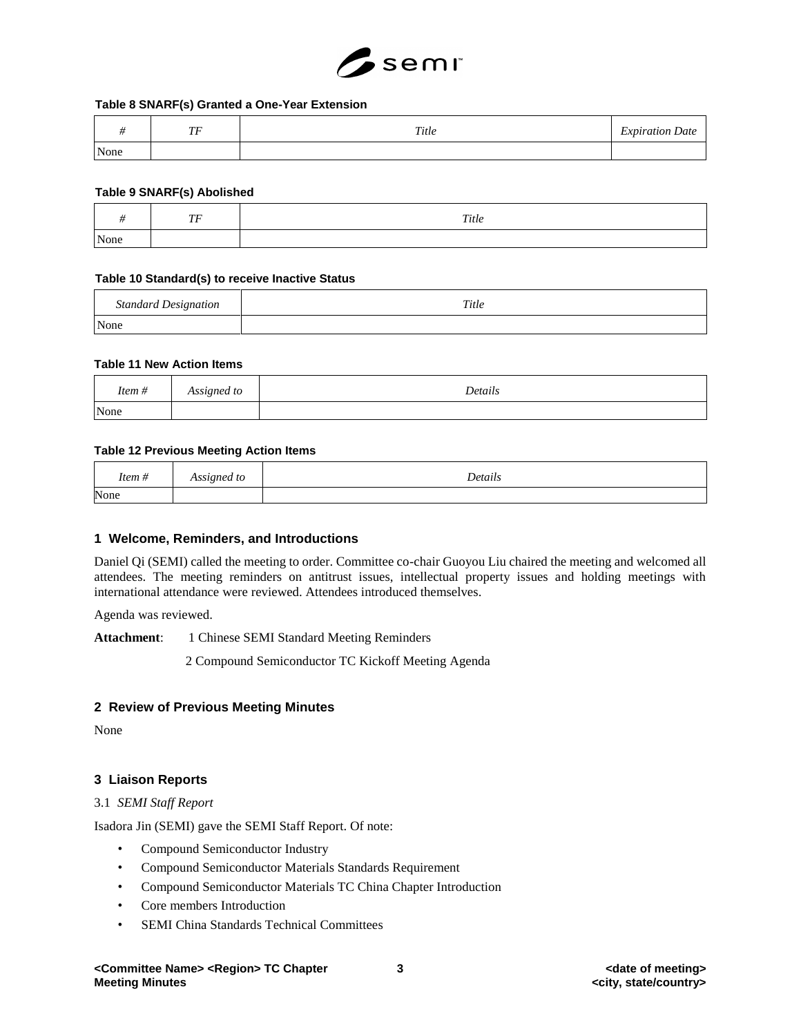

#### **Table 8 SNARF(s) Granted a One-Year Extension**

|      | $\overline{m}$<br>. . | Title | $\mathbf{r}$<br><i>Expiration L</i><br>Date |
|------|-----------------------|-------|---------------------------------------------|
| None |                       |       |                                             |

#### **Table 9 SNARF(s) Abolished**

|      | $\pi\pi$<br>$\overline{I}$ | Title |
|------|----------------------------|-------|
| None |                            |       |

#### **Table 10 Standard(s) to receive Inactive Status**

| <b>Standard Designation</b> | Title |
|-----------------------------|-------|
| None                        |       |

### **Table 11 New Action Items**

| $\cdots$<br>Item # | Assigned to | Details |
|--------------------|-------------|---------|
| None               |             |         |

#### **Table 12 Previous Meeting Action Items**

| Item # | Assigned to | n.<br>Details |
|--------|-------------|---------------|
| None   |             |               |

#### **1 Welcome, Reminders, and Introductions**

Daniel Qi (SEMI) called the meeting to order. Committee co-chair Guoyou Liu chaired the meeting and welcomed all attendees. The meeting reminders on antitrust issues, intellectual property issues and holding meetings with international attendance were reviewed. Attendees introduced themselves.

Agenda was reviewed.

**Attachment**: 1 Chinese SEMI Standard Meeting Reminders

2 Compound Semiconductor TC Kickoff Meeting Agenda

## **2 Review of Previous Meeting Minutes**

None

## **3 Liaison Reports**

#### 3.1 *SEMI Staff Report*

Isadora Jin (SEMI) gave the SEMI Staff Report. Of note:

- Compound Semiconductor Industry
- Compound Semiconductor Materials Standards Requirement
- Compound Semiconductor Materials TC China Chapter Introduction
- Core members Introduction
- SEMI China Standards Technical Committees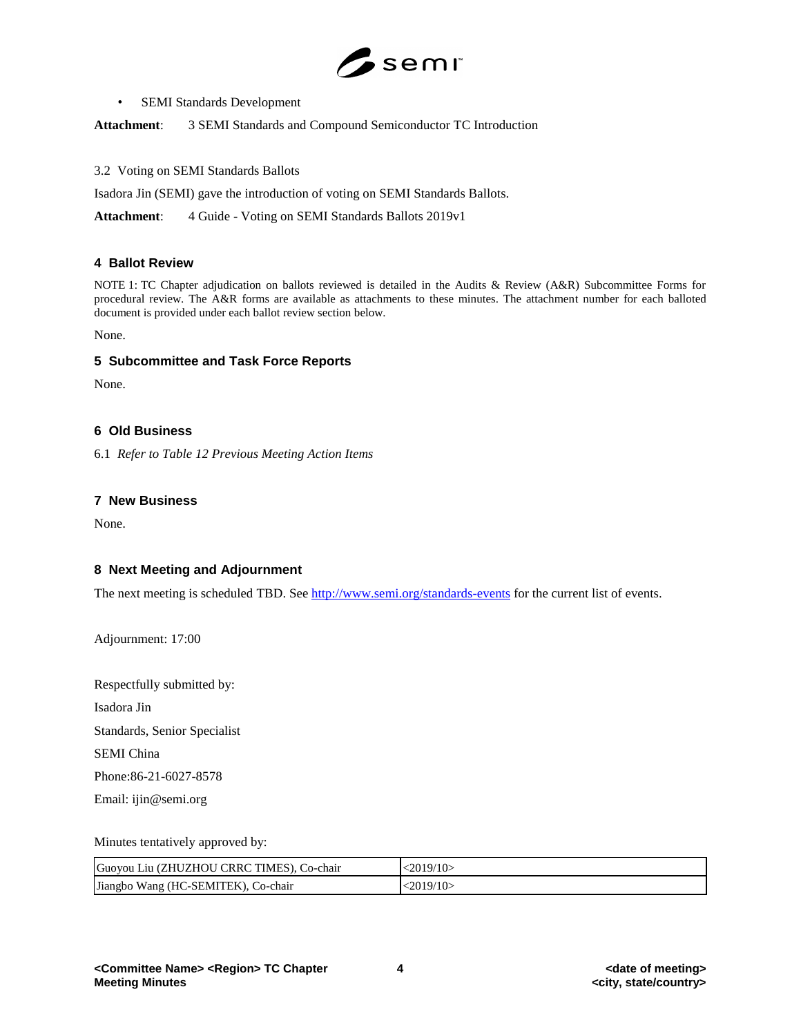

• SEMI Standards Development

**Attachment**: 3 SEMI Standards and Compound Semiconductor TC Introduction

3.2 Voting on SEMI Standards Ballots

Isadora Jin (SEMI) gave the introduction of voting on SEMI Standards Ballots.

**Attachment**: 4 Guide - Voting on SEMI Standards Ballots 2019v1

## **4 Ballot Review**

NOTE 1: TC Chapter adjudication on ballots reviewed is detailed in the Audits & Review (A&R) Subcommittee Forms for procedural review. The A&R forms are available as attachments to these minutes. The attachment number for each balloted document is provided under each ballot review section below.

None.

## **5 Subcommittee and Task Force Reports**

None.

## **6 Old Business**

6.1 *Refer to Table 12 Previous Meeting Action Items*

## **7 New Business**

None.

## **8 Next Meeting and Adjournment**

The next meeting is scheduled TBD. See<http://www.semi.org/standards-events> for the current list of events.

Adjournment: 17:00

Respectfully submitted by:

Isadora Jin

Standards, Senior Specialist

SEMI China

Phone:86-21-6027-8578

Email: ijin@semi.org

## Minutes tentatively approved by:

| Guoyou Liu (ZHUZHOU CRRC TIMES), Co-chair | $\langle 2019/10 \rangle$ |
|-------------------------------------------|---------------------------|
| Jiangbo Wang (HC-SEMITEK), Co-chair       | 2019/10                   |